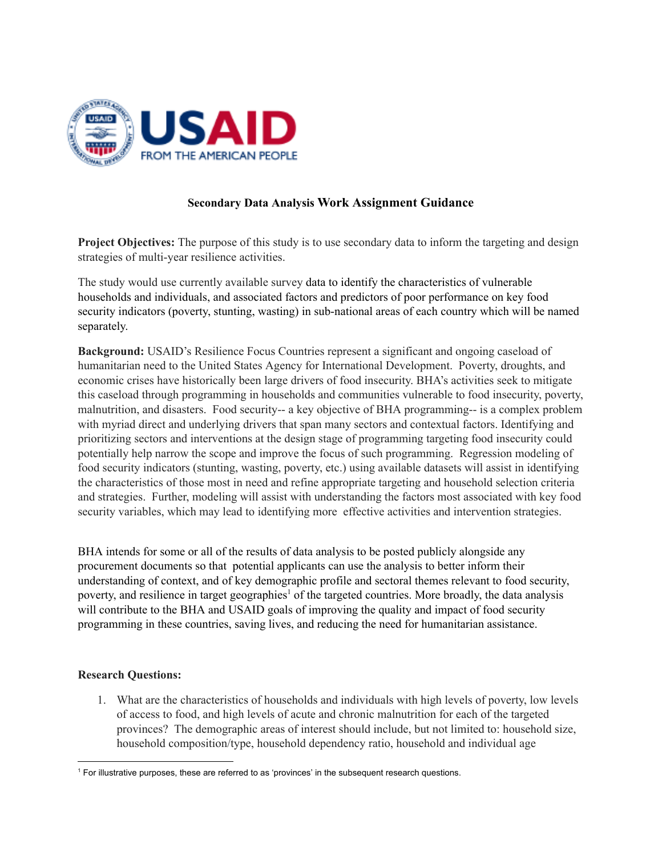

# **Secondary Data Analysis Work Assignment Guidance**

**Project Objectives:** The purpose of this study is to use secondary data to inform the targeting and design strategies of multi-year resilience activities.

The study would use currently available survey data to identify the characteristics of vulnerable households and individuals, and associated factors and predictors of poor performance on key food security indicators (poverty, stunting, wasting) in sub-national areas of each country which will be named separately.

**Background:** USAID's Resilience Focus Countries represent a significant and ongoing caseload of humanitarian need to the United States Agency for International Development. Poverty, droughts, and economic crises have historically been large drivers of food insecurity. BHA's activities seek to mitigate this caseload through programming in households and communities vulnerable to food insecurity, poverty, malnutrition, and disasters. Food security-- a key objective of BHA programming-- is a complex problem with myriad direct and underlying drivers that span many sectors and contextual factors. Identifying and prioritizing sectors and interventions at the design stage of programming targeting food insecurity could potentially help narrow the scope and improve the focus of such programming. Regression modeling of food security indicators (stunting, wasting, poverty, etc.) using available datasets will assist in identifying the characteristics of those most in need and refine appropriate targeting and household selection criteria and strategies. Further, modeling will assist with understanding the factors most associated with key food security variables, which may lead to identifying more effective activities and intervention strategies.

BHA intends for some or all of the results of data analysis to be posted publicly alongside any procurement documents so that potential applicants can use the analysis to better inform their understanding of context, and of key demographic profile and sectoral themes relevant to food security, poverty, and resilience in target geographies<sup>1</sup> of the targeted countries. More broadly, the data analysis will contribute to the BHA and USAID goals of improving the quality and impact of food security programming in these countries, saving lives, and reducing the need for humanitarian assistance.

## **Research Questions:**

1. What are the characteristics of households and individuals with high levels of poverty, low levels of access to food, and high levels of acute and chronic malnutrition for each of the targeted provinces? The demographic areas of interest should include, but not limited to: household size, household composition/type, household dependency ratio, household and individual age

<sup>1</sup> For illustrative purposes, these are referred to as 'provinces' in the subsequent research questions.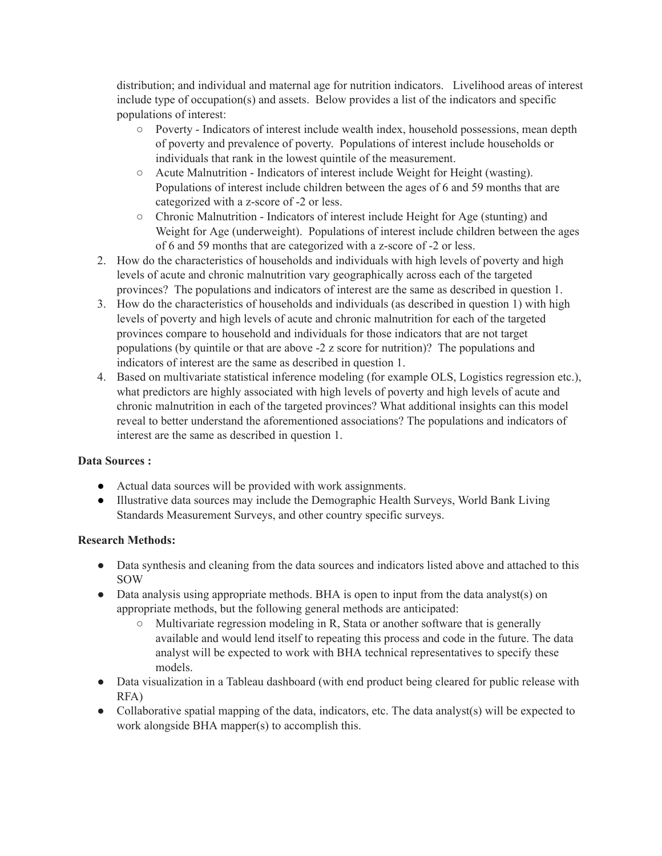distribution; and individual and maternal age for nutrition indicators. Livelihood areas of interest include type of occupation(s) and assets. Below provides a list of the indicators and specific populations of interest:

- Poverty Indicators of interest include wealth index, household possessions, mean depth of poverty and prevalence of poverty. Populations of interest include households or individuals that rank in the lowest quintile of the measurement.
- Acute Malnutrition Indicators of interest include Weight for Height (wasting). Populations of interest include children between the ages of 6 and 59 months that are categorized with a z-score of -2 or less.
- Chronic Malnutrition Indicators of interest include Height for Age (stunting) and Weight for Age (underweight). Populations of interest include children between the ages of 6 and 59 months that are categorized with a z-score of -2 or less.
- 2. How do the characteristics of households and individuals with high levels of poverty and high levels of acute and chronic malnutrition vary geographically across each of the targeted provinces? The populations and indicators of interest are the same as described in question 1.
- 3. How do the characteristics of households and individuals (as described in question 1) with high levels of poverty and high levels of acute and chronic malnutrition for each of the targeted provinces compare to household and individuals for those indicators that are not target populations (by quintile or that are above -2 z score for nutrition)? The populations and indicators of interest are the same as described in question 1.
- 4. Based on multivariate statistical inference modeling (for example OLS, Logistics regression etc.), what predictors are highly associated with high levels of poverty and high levels of acute and chronic malnutrition in each of the targeted provinces? What additional insights can this model reveal to better understand the aforementioned associations? The populations and indicators of interest are the same as described in question 1.

## **Data Sources :**

- Actual data sources will be provided with work assignments.
- Illustrative data sources may include the Demographic Health Surveys, World Bank Living Standards Measurement Surveys, and other country specific surveys.

## **Research Methods:**

- Data synthesis and cleaning from the data sources and indicators listed above and attached to this SOW
- Data analysis using appropriate methods. BHA is open to input from the data analyst(s) on appropriate methods, but the following general methods are anticipated:
	- Multivariate regression modeling in R, Stata or another software that is generally available and would lend itself to repeating this process and code in the future. The data analyst will be expected to work with BHA technical representatives to specify these models.
- Data visualization in a Tableau dashboard (with end product being cleared for public release with RFA)
- Collaborative spatial mapping of the data, indicators, etc. The data analyst(s) will be expected to work alongside BHA mapper(s) to accomplish this.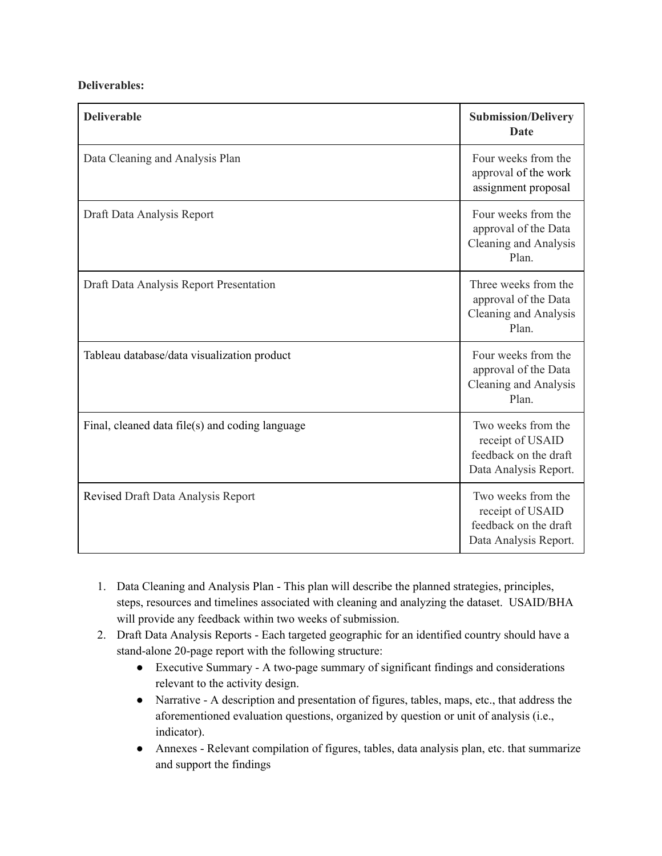#### **Deliverables:**

| <b>Deliverable</b>                              | <b>Submission/Delivery</b><br><b>Date</b>                                                |
|-------------------------------------------------|------------------------------------------------------------------------------------------|
| Data Cleaning and Analysis Plan                 | Four weeks from the<br>approval of the work<br>assignment proposal                       |
| Draft Data Analysis Report                      | Four weeks from the<br>approval of the Data<br>Cleaning and Analysis<br>Plan.            |
| Draft Data Analysis Report Presentation         | Three weeks from the<br>approval of the Data<br>Cleaning and Analysis<br>Plan.           |
| Tableau database/data visualization product     | Four weeks from the<br>approval of the Data<br>Cleaning and Analysis<br>Plan.            |
| Final, cleaned data file(s) and coding language | Two weeks from the<br>receipt of USAID<br>feedback on the draft<br>Data Analysis Report. |
| Revised Draft Data Analysis Report              | Two weeks from the<br>receipt of USAID<br>feedback on the draft<br>Data Analysis Report. |

- 1. Data Cleaning and Analysis Plan This plan will describe the planned strategies, principles, steps, resources and timelines associated with cleaning and analyzing the dataset. USAID/BHA will provide any feedback within two weeks of submission.
- 2. Draft Data Analysis Reports Each targeted geographic for an identified country should have a stand-alone 20-page report with the following structure:
	- Executive Summary A two-page summary of significant findings and considerations relevant to the activity design.
	- Narrative A description and presentation of figures, tables, maps, etc., that address the aforementioned evaluation questions, organized by question or unit of analysis (i.e., indicator).
	- Annexes Relevant compilation of figures, tables, data analysis plan, etc. that summarize and support the findings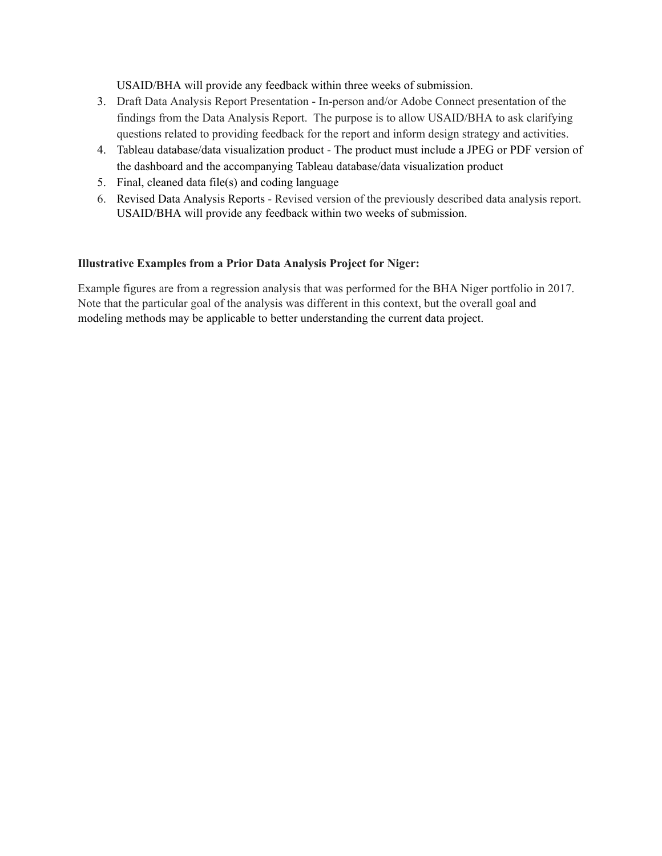USAID/BHA will provide any feedback within three weeks of submission.

- 3. Draft Data Analysis Report Presentation In-person and/or Adobe Connect presentation of the findings from the Data Analysis Report. The purpose is to allow USAID/BHA to ask clarifying questions related to providing feedback for the report and inform design strategy and activities.
- 4. Tableau database/data visualization product The product must include a JPEG or PDF version of the dashboard and the accompanying Tableau database/data visualization product
- 5. Final, cleaned data file(s) and coding language
- 6. Revised Data Analysis Reports Revised version of the previously described data analysis report. USAID/BHA will provide any feedback within two weeks of submission.

#### **Illustrative Examples from a Prior Data Analysis Project for Niger:**

Example figures are from a regression analysis that was performed for the BHA Niger portfolio in 2017. Note that the particular goal of the analysis was different in this context, but the overall goal and modeling methods may be applicable to better understanding the current data project.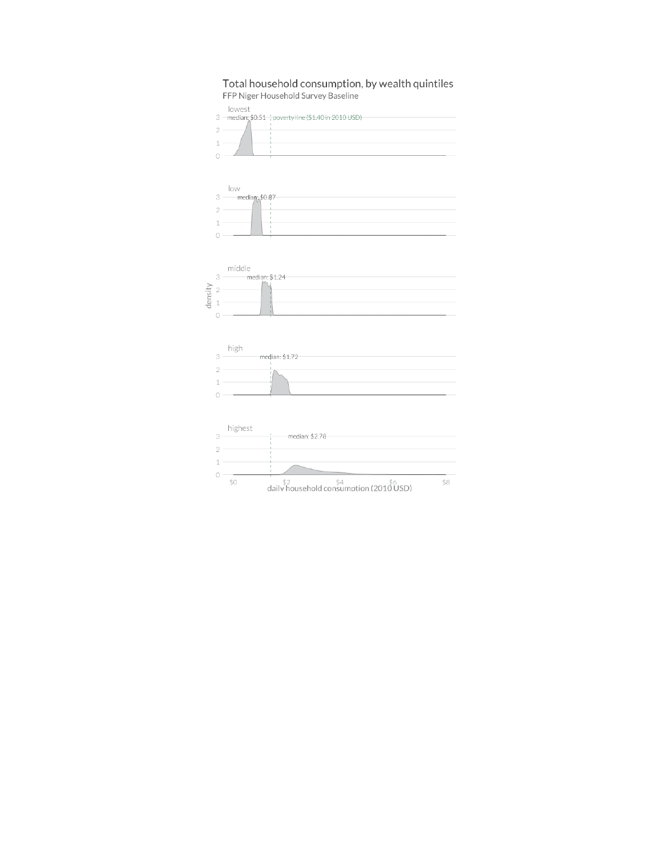#### Total household consumption, by wealth quintiles FFP Niger Household Survey Baseline

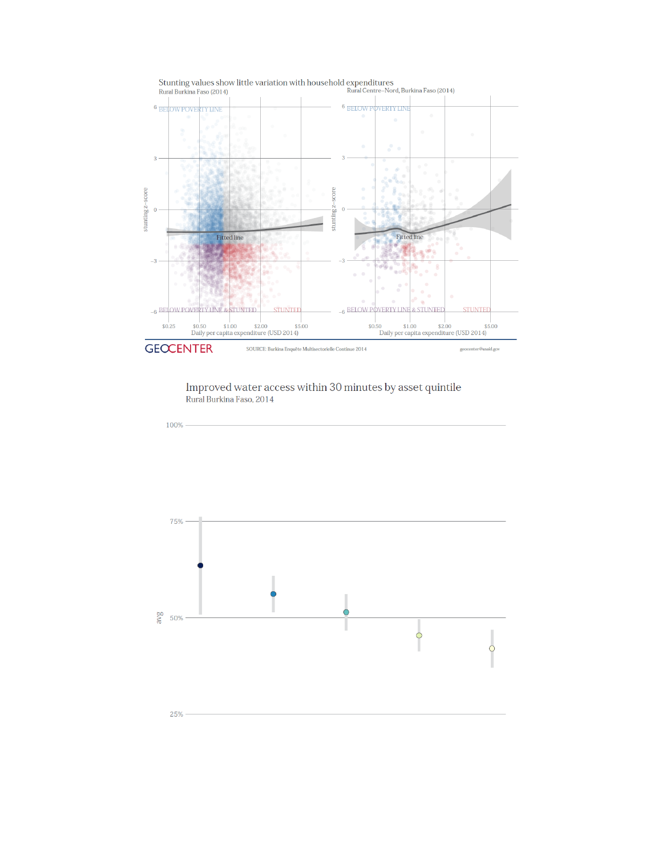

 $\label{eq:decomp} \begin{minipage}{0.9\textwidth} \begin{minipage}{0.9\textwidth} \begin{minipage}{0.9\textwidth} \begin{minipage}{0.9\textwidth} \begin{minipage}{0.9\textwidth} \begin{minipage}{0.9\textwidth} \begin{minipage}{0.9\textwidth} \begin{minipage}{0.9\textwidth} \begin{minipage}{0.9\textwidth} \begin{minipage}{0.9\textwidth} \begin{minipage}{0.9\textwidth} \begin{minipage}{0.9\textwidth} \begin{minipage}{0.9\textwidth} \begin{minipage}{0.9\textwidth} \begin{minipage}{0.9\textwidth} \begin$